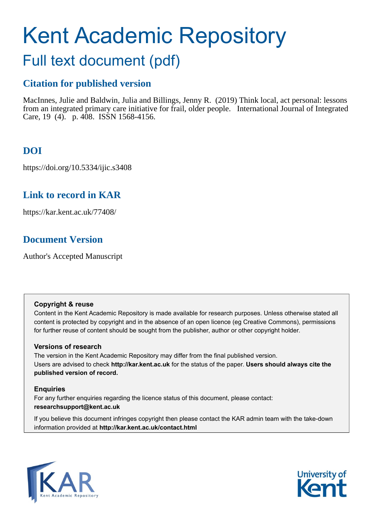# Kent Academic Repository

## Full text document (pdf)

## **Citation for published version**

MacInnes, Julie and Baldwin, Julia and Billings, Jenny R. (2019) Think local, act personal: lessons from an integrated primary care initiative for frail, older people. International Journal of Integrated Care, 19 (4). p. 408. ISSN 1568-4156.

## **DOI**

https://doi.org/10.5334/ijic.s3408

## **Link to record in KAR**

https://kar.kent.ac.uk/77408/

## **Document Version**

Author's Accepted Manuscript

#### **Copyright & reuse**

Content in the Kent Academic Repository is made available for research purposes. Unless otherwise stated all content is protected by copyright and in the absence of an open licence (eg Creative Commons), permissions for further reuse of content should be sought from the publisher, author or other copyright holder.

#### **Versions of research**

The version in the Kent Academic Repository may differ from the final published version. Users are advised to check **http://kar.kent.ac.uk** for the status of the paper. **Users should always cite the published version of record.**

#### **Enquiries**

For any further enquiries regarding the licence status of this document, please contact: **researchsupport@kent.ac.uk**

If you believe this document infringes copyright then please contact the KAR admin team with the take-down information provided at **http://kar.kent.ac.uk/contact.html**



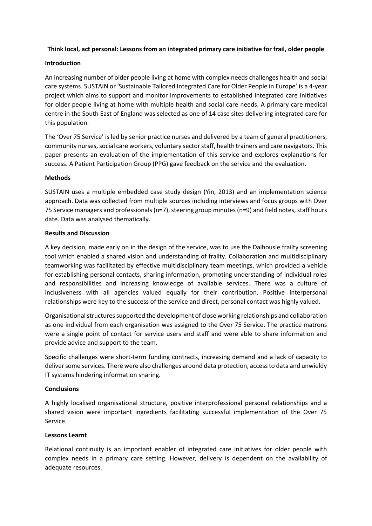#### **Think local, act personal: Lessons from an integrated primary care initiative for frail, older people**

#### **Introduction**

An increasing number of older people living at home with complex needs challenges health and social care systems. SUSTAIN or 'Sustainable Tailored Integrated Care for Older People in Europe' is a 4-year project which aims to support and monitor improvements to established integrated care initiatives for older people living at home with multiple health and social care needs. A primary care medical centre in the South East of England was selected as one of 14 case sites delivering integrated care for this population.

The 'Over 75 Service' is led by senior practice nurses and delivered by a team of general practitioners, community nurses, social care workers, voluntary sector staff, health trainers and care navigators. This paper presents an evaluation of the implementation of this service and explores explanations for success. A Patient Participation Group (PPG) gave feedback on the service and the evaluation.

#### **Methods**

SUSTAIN uses a multiple embedded case study design (Yin, 2013) and an implementation science approach. Data was collected from multiple sources including interviews and focus groups with Over 75 Service managers and professionals ( $n=7$ ), steering group minutes ( $n=9$ ) and field notes, staff hours date. Data was analysed thematically.

#### **Results and Discussion**

A key decision, made early on in the design of the service, was to use the Dalhousie frailty screening tool which enabled a shared vision and understanding of frailty. Collaboration and multidisciplinary teamworking was facilitated by effective multidisciplinary team meetings, which provided a vehicle for establishing personal contacts, sharing information, promoting understanding of individual roles and responsibilities and increasing knowledge of available services. There was a culture of inclusiveness with all agencies valued equally for their contribution. Positive interpersonal relationships were key to the success of the service and direct, personal contact was highly valued.

Organisational structures supported the development of close working relationships and collaboration as one individual from each organisation was assigned to the Over 75 Service. The practice matrons were a single point of contact for service users and staff and were able to share information and provide advice and support to the team.

Specific challenges were short-term funding contracts, increasing demand and a lack of capacity to deliver some services. There were also challenges around data protection, access to data and unwieldy IT systems hindering information sharing.

#### **Conclusions**

A highly localised organisational structure, positive interprofessional personal relationships and a shared vision were important ingredients facilitating successful implementation of the Over 75 Service.

#### **Lessons Learnt**

Relational continuity is an important enabler of integrated care initiatives for older people with complex needs in a primary care setting. However, delivery is dependent on the availability of adequate resources.